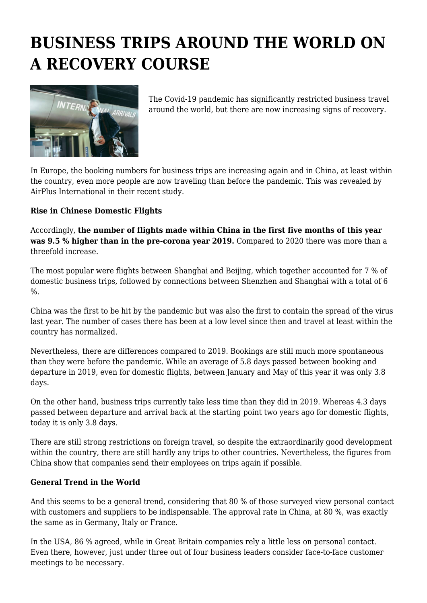# **BUSINESS TRIPS AROUND THE WORLD ON A RECOVERY COURSE**



The Covid-19 pandemic has significantly restricted business travel around the world, but there are now increasing signs of recovery.

In Europe, the booking numbers for business trips are increasing again and in China, at least within the country, even more people are now traveling than before the pandemic. This was revealed by AirPlus International in their recent study.

#### **Rise in Chinese Domestic Flights**

Accordingly, **the number of flights made within China in the first five months of this year was 9.5 % higher than in the pre-corona year 2019.** Compared to 2020 there was more than a threefold increase.

The most popular were flights between Shanghai and Beijing, which together accounted for 7 % of domestic business trips, followed by connections between Shenzhen and Shanghai with a total of 6 %.

China was the first to be hit by the pandemic but was also the first to contain the spread of the virus last year. The number of cases there has been at a low level since then and travel at least within the country has normalized.

Nevertheless, there are differences compared to 2019. Bookings are still much more spontaneous than they were before the pandemic. While an average of 5.8 days passed between booking and departure in 2019, even for domestic flights, between January and May of this year it was only 3.8 days.

On the other hand, business trips currently take less time than they did in 2019. Whereas 4.3 days passed between departure and arrival back at the starting point two years ago for domestic flights, today it is only 3.8 days.

There are still strong restrictions on foreign travel, so despite the extraordinarily good development within the country, there are still hardly any trips to other countries. Nevertheless, the figures from China show that companies send their employees on trips again if possible.

#### **General Trend in the World**

And this seems to be a general trend, considering that 80 % of those surveyed view personal contact with customers and suppliers to be indispensable. The approval rate in China, at 80 %, was exactly the same as in Germany, Italy or France.

In the USA, 86 % agreed, while in Great Britain companies rely a little less on personal contact. Even there, however, just under three out of four business leaders consider face-to-face customer meetings to be necessary.